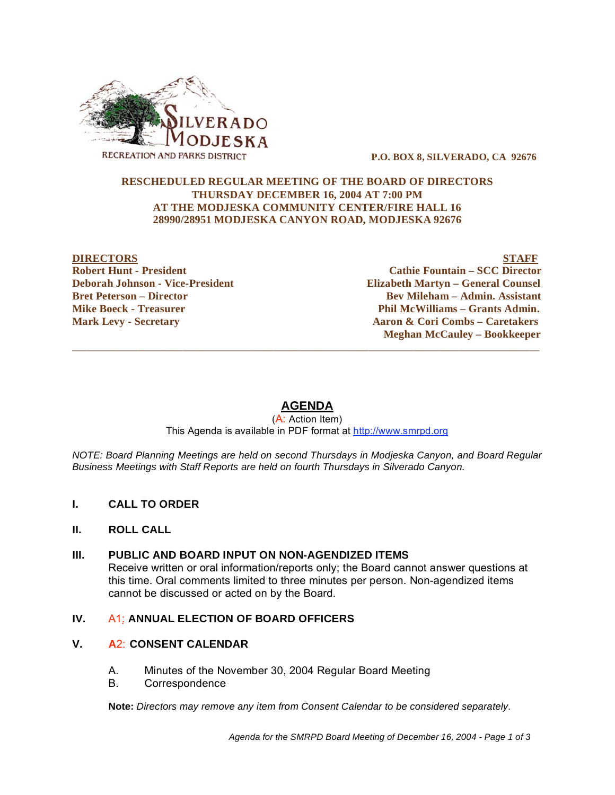

 **P.O. BOX 8, SILVERADO, CA 92676** 

#### **RESCHEDULED REGULAR MEETING OF THE BOARD OF DIRECTORS THURSDAY DECEMBER 16, 2004 AT 7:00 PM AT THE MODJESKA COMMUNITY CENTER/FIRE HALL 16 28990/28951 MODJESKA CANYON ROAD, MODJESKA 92676**

#### **DIRECTORS** STAFF **Robert Hunt - President Cathie Fountain – SCC Director<br>
Deborah Johnson - Vice-President Countain – Ceneral Counsel Countain – General Counsel Elizabeth Martyn – General Counsel Bret Peterson – Director Community Community Community Bev Mileham – Admin. Assistant Mike Boeck - Treasurer**  The Phil McWilliams – Grants Admin. **Mark Levy - Secretary Aaron & Cori Combs – Caretakers Meghan McCauley – Bookkeeper**

# **AGENDA**

 $\overline{\phantom{a}}$  ,  $\overline{\phantom{a}}$  ,  $\overline{\phantom{a}}$  ,  $\overline{\phantom{a}}$  ,  $\overline{\phantom{a}}$  ,  $\overline{\phantom{a}}$  ,  $\overline{\phantom{a}}$  ,  $\overline{\phantom{a}}$  ,  $\overline{\phantom{a}}$  ,  $\overline{\phantom{a}}$  ,  $\overline{\phantom{a}}$  ,  $\overline{\phantom{a}}$  ,  $\overline{\phantom{a}}$  ,  $\overline{\phantom{a}}$  ,  $\overline{\phantom{a}}$  ,  $\overline{\phantom{a}}$ 

(A: Action Item) This Agenda is available in PDF format at http://www.smrpd.org

*NOTE: Board Planning Meetings are held on second Thursdays in Modjeska Canyon, and Board Regular Business Meetings with Staff Reports are held on fourth Thursdays in Silverado Canyon.* 

- **I. CALL TO ORDER**
- **II. ROLL CALL**
- **III. PUBLIC AND BOARD INPUT ON NON-AGENDIZED ITEMS**  Receive written or oral information/reports only; the Board cannot answer questions at this time. Oral comments limited to three minutes per person. Non-agendized items cannot be discussed or acted on by the Board.

## **IV.** A1: ANNUAL ELECTION OF BOARD OFFICERS

## **V. A**2: **CONSENT CALENDAR**

- A. Minutes of the November 30, 2004 Regular Board Meeting
- B. Correspondence

**Note:** *Directors may remove any item from Consent Calendar to be considered separately.*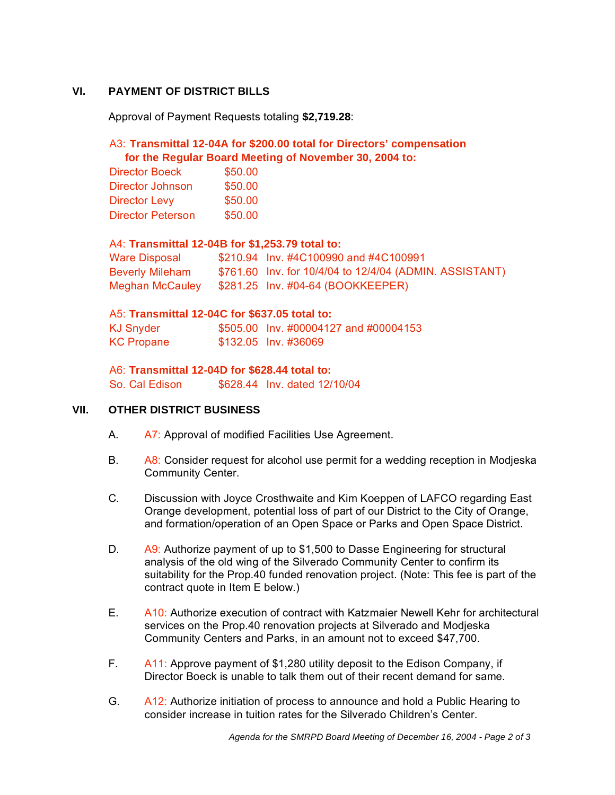# **VI. PAYMENT OF DISTRICT BILLS**

Approval of Payment Requests totaling **\$2,719.28**:

# A3: **Transmittal 12-04A for \$200.00 total for Directors' compensation for the Regular Board Meeting of November 30, 2004 to:**

| <b>Director Boeck</b>    | \$50.00 |
|--------------------------|---------|
| Director Johnson         | \$50.00 |
| <b>Director Levy</b>     | \$50.00 |
| <b>Director Peterson</b> | \$50.00 |

## A4: **Transmittal 12-04B for \$1,253.79 total to:**

| Ware Disposal          | \$210.94 Inv. #4C100990 and #4C100991                   |
|------------------------|---------------------------------------------------------|
| <b>Beverly Mileham</b> | \$761.60 Inv. for 10/4/04 to 12/4/04 (ADMIN. ASSISTANT) |
| Meghan McCauley        | \$281.25 Inv. #04-64 (BOOKKEEPER)                       |

## A5: **Transmittal 12-04C for \$637.05 total to:**

KJ Snyder \$505.00 Inv. #00004127 and #00004153 KC Propane \$132.05 Inv. #36069

## A6: **Transmittal 12-04D for \$628.44 total to:**

So. Cal Edison \$628.44 Inv. dated 12/10/04

## **VII. OTHER DISTRICT BUSINESS**

- A. A7: Approval of modified Facilities Use Agreement.
- B.  $A8:$  Consider request for alcohol use permit for a wedding reception in Modjeska Community Center.
- C. Discussion with Joyce Crosthwaite and Kim Koeppen of LAFCO regarding East Orange development, potential loss of part of our District to the City of Orange, and formation/operation of an Open Space or Parks and Open Space District.
- D. A9: Authorize payment of up to \$1,500 to Dasse Engineering for structural analysis of the old wing of the Silverado Community Center to confirm its suitability for the Prop.40 funded renovation project. (Note: This fee is part of the contract quote in Item E below.)
- E. A10: Authorize execution of contract with Katzmaier Newell Kehr for architectural services on the Prop.40 renovation projects at Silverado and Modjeska Community Centers and Parks, in an amount not to exceed \$47,700.
- F. A11: Approve payment of \$1,280 utility deposit to the Edison Company, if Director Boeck is unable to talk them out of their recent demand for same.
- G. A12: Authorize initiation of process to announce and hold a Public Hearing to consider increase in tuition rates for the Silverado Children's Center.